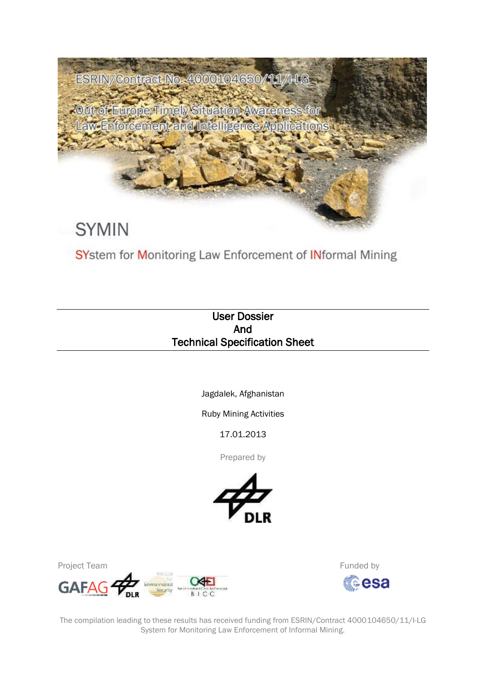

SYstem for Monitoring Law Enforcement of INformal Mining

# User Dossier And Technical Specification Sheet

Jagdalek, Afghanistan

Ruby Mining Activities

17.01.2013

Prepared by





Funded by tesa

The compilation leading to these results has received funding from ESRIN/Contract 4000104650/11/I-LG System for Monitoring Law Enforcement of Informal Mining.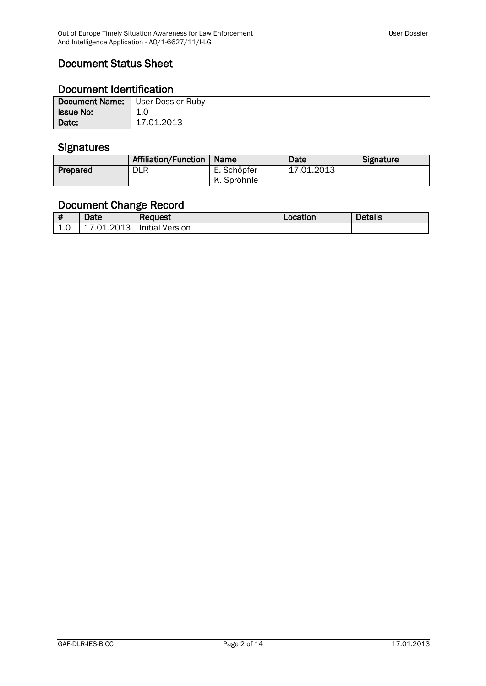# Document Status Sheet

# Document Identification

| Document Name: User Dossier Ruby |            |
|----------------------------------|------------|
| <b>Issue No:</b>                 | 1.0        |
| Date:                            | 17.01.2013 |

### **Signatures**

|          | Affiliation/Function | ∣ Name      | Date       | <b>Signature</b> |
|----------|----------------------|-------------|------------|------------------|
| Prepared | <b>DLR</b>           | E. Schöpfer | 17.01.2013 |                  |
|          |                      | K. Spröhnle |            |                  |

# Document Change Record

| - 11               | Date       | Reauest                | Location | <b>Details</b> |
|--------------------|------------|------------------------|----------|----------------|
| $\sqrt{10}$<br>⊥∙∪ | 17.01.2013 | <b>Initial Version</b> |          |                |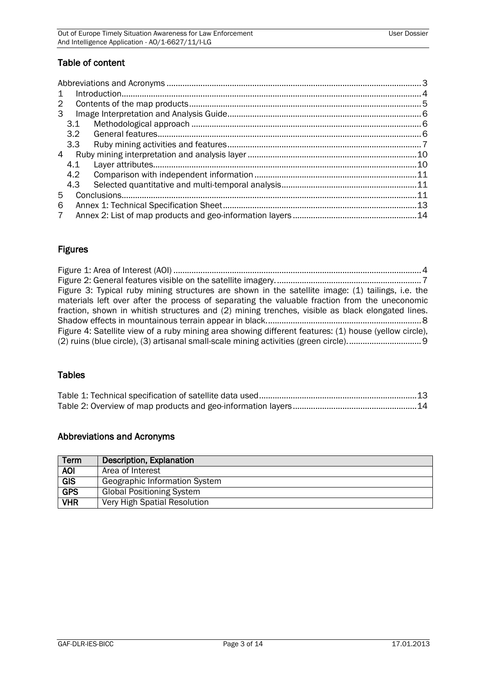### Table of content

| $\mathbf{1}$ |     |  |  |
|--------------|-----|--|--|
| 2            |     |  |  |
| 3            |     |  |  |
|              | 3.1 |  |  |
|              | 3.2 |  |  |
|              | 3.3 |  |  |
| 4            |     |  |  |
|              | 4.1 |  |  |
|              | 4.2 |  |  |
|              | 4.3 |  |  |
| 5            |     |  |  |
| 6            |     |  |  |
| 7            |     |  |  |

# Figures

| Figure 3: Typical ruby mining structures are shown in the satellite image: (1) tailings, i.e. the     |  |
|-------------------------------------------------------------------------------------------------------|--|
| materials left over after the process of separating the valuable fraction from the uneconomic         |  |
| fraction, shown in whitish structures and (2) mining trenches, visible as black elongated lines.      |  |
|                                                                                                       |  |
| Figure 4: Satellite view of a ruby mining area showing different features: (1) house (yellow circle), |  |
|                                                                                                       |  |

## Tables

# <span id="page-2-0"></span>Abbreviations and Acronyms

| <b>Term</b> | Description, Explanation         |
|-------------|----------------------------------|
| <b>AOI</b>  | Area of Interest                 |
| <b>GIS</b>  | Geographic Information System    |
| <b>GPS</b>  | <b>Global Positioning System</b> |
| <b>VHR</b>  | Very High Spatial Resolution     |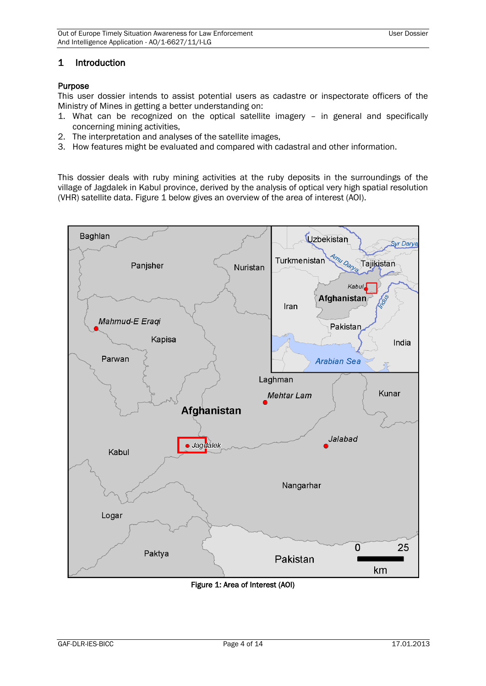#### <span id="page-3-0"></span>1 Introduction

#### Purpose

This user dossier intends to assist potential users as cadastre or inspectorate officers of the Ministry of Mines in getting a better understanding on:

- 1. What can be recognized on the optical satellite imagery in general and specifically concerning mining activities,
- 2. The interpretation and analyses of the satellite images,
- 3. How features might be evaluated and compared with cadastral and other information.

This dossier deals with ruby mining activities at the ruby deposits in the surroundings of the village of Jagdalek in Kabul province, derived by the analysis of optical very high spatial resolution (VHR) satellite data. Figure 1 below gives an overview of the area of interest (AOI).



<span id="page-3-1"></span>Figure 1: Area of Interest (AOI)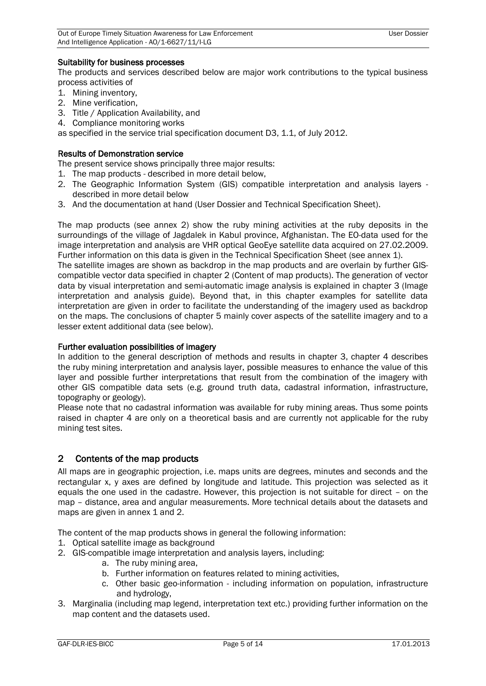#### Suitability for business processes

The products and services described below are major work contributions to the typical business process activities of

- 1. Mining inventory,
- 2. Mine verification,
- 3. Title / Application Availability, and
- 4. Compliance monitoring works

as specified in the service trial specification document D3, 1.1, of July 2012.

#### Results of Demonstration service

The present service shows principally three major results:

- 1. The map products described in more detail below,
- 2. The Geographic Information System (GIS) compatible interpretation and analysis layers described in more detail below
- 3. And the documentation at hand (User Dossier and Technical Specification Sheet).

The map products (see annex 2) show the ruby mining activities at the ruby deposits in the surroundings of the village of Jagdalek in Kabul province, Afghanistan. The EO-data used for the image interpretation and analysis are VHR optical GeoEye satellite data acquired on 27.02.2009. Further information on this data is given in the Technical Specification Sheet (see annex 1).

The satellite images are shown as backdrop in the map products and are overlain by further GIScompatible vector data specified in chapter 2 (Content of map products). The generation of vector data by visual interpretation and semi-automatic image analysis is explained in chapter 3 (Image interpretation and analysis guide). Beyond that, in this chapter examples for satellite data interpretation are given in order to facilitate the understanding of the imagery used as backdrop on the maps. The conclusions of chapter 5 mainly cover aspects of the satellite imagery and to a lesser extent additional data (see below).

#### Further evaluation possibilities of imagery

In addition to the general description of methods and results in chapter 3, chapter 4 describes the ruby mining interpretation and analysis layer, possible measures to enhance the value of this layer and possible further interpretations that result from the combination of the imagery with other GIS compatible data sets (e.g. ground truth data, cadastral information, infrastructure, topography or geology).

Please note that no cadastral information was available for ruby mining areas. Thus some points raised in chapter 4 are only on a theoretical basis and are currently not applicable for the ruby mining test sites.

#### <span id="page-4-0"></span>2 Contents of the map products

All maps are in geographic projection, i.e. maps units are degrees, minutes and seconds and the rectangular x, y axes are defined by longitude and latitude. This projection was selected as it equals the one used in the cadastre. However, this projection is not suitable for direct – on the map – distance, area and angular measurements. More technical details about the datasets and maps are given in annex 1 and 2.

The content of the map products shows in general the following information:

- 1. Optical satellite image as background
- 2. GIS-compatible image interpretation and analysis layers, including:
	- a. The ruby mining area,
	- b. Further information on features related to mining activities,
	- c. Other basic geo-information including information on population, infrastructure and hydrology,
- 3. Marginalia (including map legend, interpretation text etc.) providing further information on the map content and the datasets used.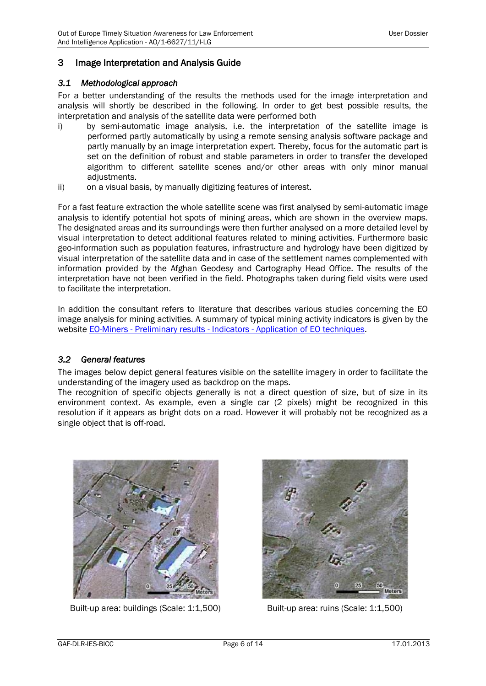### <span id="page-5-0"></span>3 Image Interpretation and Analysis Guide

#### <span id="page-5-1"></span>*3.1 Methodological approach*

For a better understanding of the results the methods used for the image interpretation and analysis will shortly be described in the following. In order to get best possible results, the interpretation and analysis of the satellite data were performed both

- i) by semi-automatic image analysis, i.e. the interpretation of the satellite image is performed partly automatically by using a remote sensing analysis software package and partly manually by an image interpretation expert. Thereby, focus for the automatic part is set on the definition of robust and stable parameters in order to transfer the developed algorithm to different satellite scenes and/or other areas with only minor manual adiustments.
- ii) on a visual basis, by manually digitizing features of interest.

For a fast feature extraction the whole satellite scene was first analysed by semi-automatic image analysis to identify potential hot spots of mining areas, which are shown in the overview maps. The designated areas and its surroundings were then further analysed on a more detailed level by visual interpretation to detect additional features related to mining activities. Furthermore basic geo-information such as population features, infrastructure and hydrology have been digitized by visual interpretation of the satellite data and in case of the settlement names complemented with information provided by the Afghan Geodesy and Cartography Head Office. The results of the interpretation have not been verified in the field. Photographs taken during field visits were used to facilitate the interpretation.

In addition the consultant refers to literature that describes various studies concerning the EO image analysis for mining activities. A summary of typical mining activity indicators is given by the website EO-Miners - Preliminary results - Indicators - [Application of EO techniques.](http://www.eo-miners.eu/prelim_results/pr_indi_application.htm)

#### <span id="page-5-2"></span>*3.2 General features*

The images below depict general features visible on the satellite imagery in order to facilitate the understanding of the imagery used as backdrop on the maps.

The recognition of specific objects generally is not a direct question of size, but of size in its environment context. As example, even a single car (2 pixels) might be recognized in this resolution if it appears as bright dots on a road. However it will probably not be recognized as a single object that is off-road.



Built-up area: buildings (Scale: 1:1,500) Built-up area: ruins (Scale: 1:1,500)

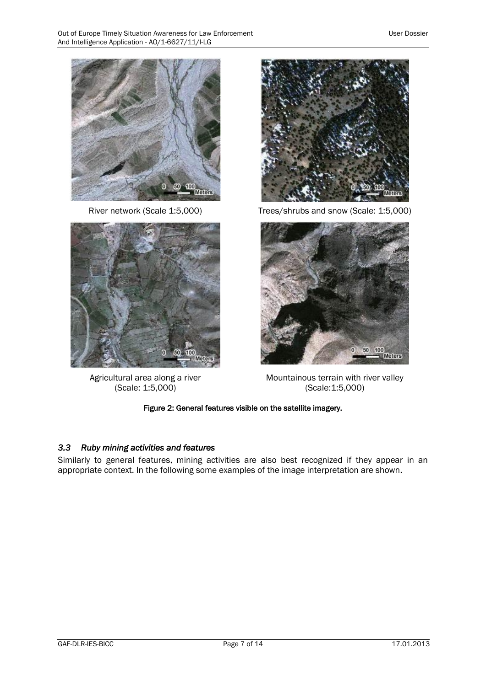



Agricultural area along a river (Scale: 1:5,000)



River network (Scale 1:5,000) Trees/shrubs and snow (Scale: 1:5,000)



Mountainous terrain with river valley (Scale:1:5,000)

#### Figure 2: General features visible on the satellite imagery.

#### <span id="page-6-1"></span><span id="page-6-0"></span>*3.3 Ruby mining activities and features*

Similarly to general features, mining activities are also best recognized if they appear in an appropriate context. In the following some examples of the image interpretation are shown.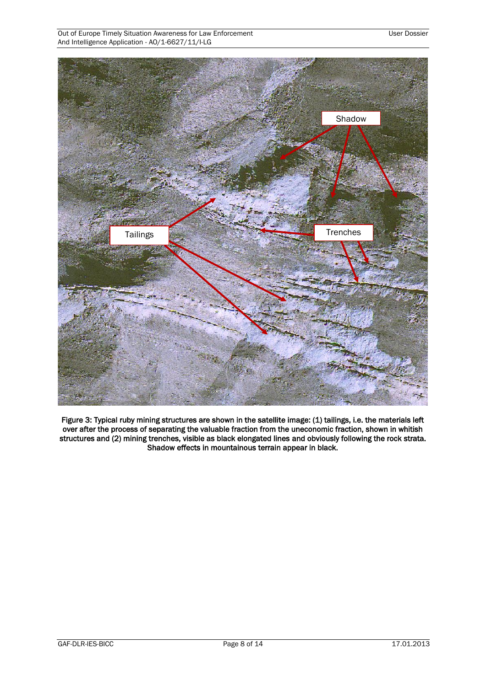**Tailings** Trenches Shadow

<span id="page-7-0"></span>Figure 3: Typical ruby mining structures are shown in the satellite image: (1) tailings, i.e. the materials left over after the process of separating the valuable fraction from the uneconomic fraction, shown in whitish structures and (2) mining trenches, visible as black elongated lines and obviously following the rock strata. Shadow effects in mountainous terrain appear in black.

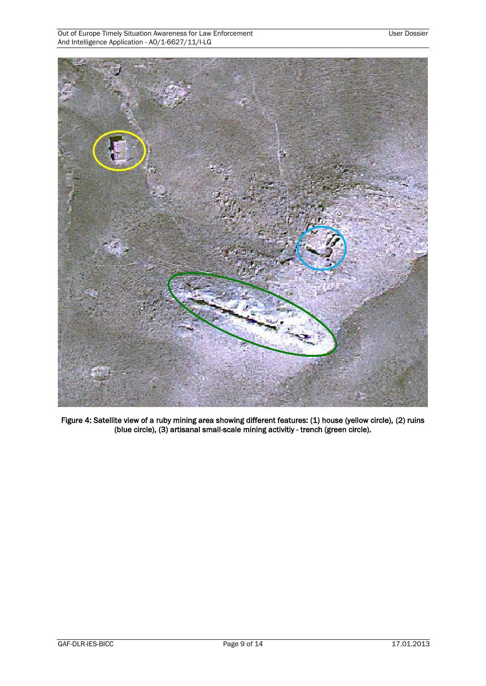

<span id="page-8-0"></span>Figure 4: Satellite view of a ruby mining area showing different features: (1) house (yellow circle), (2) ruins (blue circle), (3) artisanal small-scale mining activitiy - trench (green circle).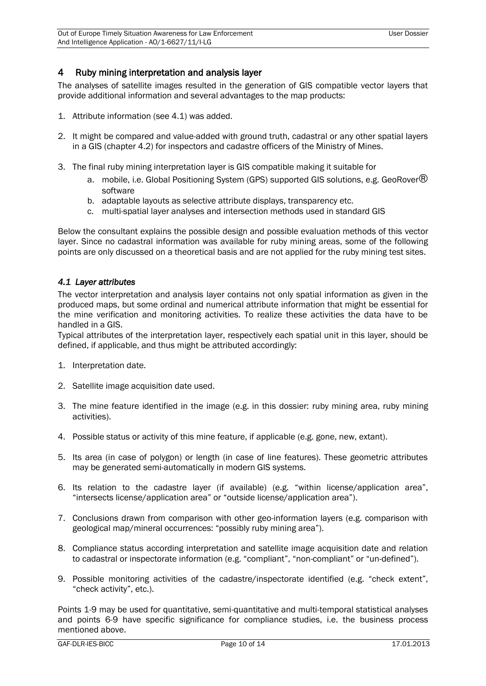### <span id="page-9-0"></span>4 Ruby mining interpretation and analysis layer

The analyses of satellite images resulted in the generation of GIS compatible vector layers that provide additional information and several advantages to the map products:

- 1. Attribute information (see 4.1) was added.
- 2. It might be compared and value-added with ground truth, cadastral or any other spatial layers in a GIS (chapter 4.2) for inspectors and cadastre officers of the Ministry of Mines.
- 3. The final ruby mining interpretation layer is GIS compatible making it suitable for
	- a. mobile, i.e. Global Positioning System (GPS) supported GIS solutions, e.g. GeoRover $\circledR$ software
	- b. adaptable layouts as selective attribute displays, transparency etc.
	- c. multi-spatial layer analyses and intersection methods used in standard GIS

Below the consultant explains the possible design and possible evaluation methods of this vector layer. Since no cadastral information was available for ruby mining areas, some of the following points are only discussed on a theoretical basis and are not applied for the ruby mining test sites.

#### <span id="page-9-1"></span>*4.1 Layer attributes*

The vector interpretation and analysis layer contains not only spatial information as given in the produced maps, but some ordinal and numerical attribute information that might be essential for the mine verification and monitoring activities. To realize these activities the data have to be handled in a GIS.

Typical attributes of the interpretation layer, respectively each spatial unit in this layer, should be defined, if applicable, and thus might be attributed accordingly:

- 1. Interpretation date.
- 2. Satellite image acquisition date used.
- 3. The mine feature identified in the image (e.g. in this dossier: ruby mining area, ruby mining activities).
- 4. Possible status or activity of this mine feature, if applicable (e.g. gone, new, extant).
- 5. Its area (in case of polygon) or length (in case of line features). These geometric attributes may be generated semi-automatically in modern GIS systems.
- 6. Its relation to the cadastre layer (if available) (e.g. "within license/application area", "intersects license/application area" or "outside license/application area").
- 7. Conclusions drawn from comparison with other geo-information layers (e.g. comparison with geological map/mineral occurrences: "possibly ruby mining area").
- 8. Compliance status according interpretation and satellite image acquisition date and relation to cadastral or inspectorate information (e.g. "compliant", "non-compliant" or "un-defined").
- 9. Possible monitoring activities of the cadastre/inspectorate identified (e.g. "check extent", "check activity", etc.).

Points 1-9 may be used for quantitative, semi-quantitative and multi-temporal statistical analyses and points 6-9 have specific significance for compliance studies, i.e. the business process mentioned above.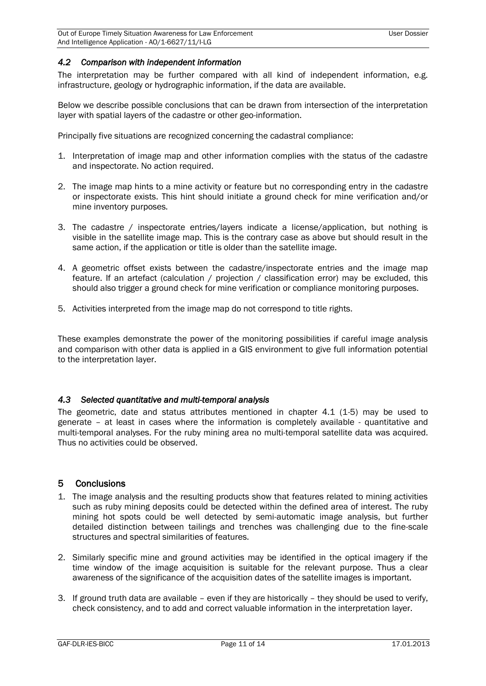#### <span id="page-10-0"></span>*4.2 Comparison with independent information*

The interpretation may be further compared with all kind of independent information, e.g. infrastructure, geology or hydrographic information, if the data are available.

Below we describe possible conclusions that can be drawn from intersection of the interpretation layer with spatial layers of the cadastre or other geo-information.

Principally five situations are recognized concerning the cadastral compliance:

- 1. Interpretation of image map and other information complies with the status of the cadastre and inspectorate. No action required.
- 2. The image map hints to a mine activity or feature but no corresponding entry in the cadastre or inspectorate exists. This hint should initiate a ground check for mine verification and/or mine inventory purposes.
- 3. The cadastre / inspectorate entries/layers indicate a license/application, but nothing is visible in the satellite image map. This is the contrary case as above but should result in the same action, if the application or title is older than the satellite image.
- 4. A geometric offset exists between the cadastre/inspectorate entries and the image map feature. If an artefact (calculation / projection / classification error) may be excluded, this should also trigger a ground check for mine verification or compliance monitoring purposes.
- 5. Activities interpreted from the image map do not correspond to title rights.

These examples demonstrate the power of the monitoring possibilities if careful image analysis and comparison with other data is applied in a GIS environment to give full information potential to the interpretation layer.

#### <span id="page-10-1"></span>*4.3 Selected quantitative and multi-temporal analysis*

The geometric, date and status attributes mentioned in chapter 4.1 (1-5) may be used to generate – at least in cases where the information is completely available - quantitative and multi-temporal analyses. For the ruby mining area no multi-temporal satellite data was acquired. Thus no activities could be observed.

#### <span id="page-10-2"></span>5 Conclusions

- 1. The image analysis and the resulting products show that features related to mining activities such as ruby mining deposits could be detected within the defined area of interest. The ruby mining hot spots could be well detected by semi-automatic image analysis, but further detailed distinction between tailings and trenches was challenging due to the fine-scale structures and spectral similarities of features.
- 2. Similarly specific mine and ground activities may be identified in the optical imagery if the time window of the image acquisition is suitable for the relevant purpose. Thus a clear awareness of the significance of the acquisition dates of the satellite images is important.
- 3. If ground truth data are available even if they are historically they should be used to verify, check consistency, and to add and correct valuable information in the interpretation layer.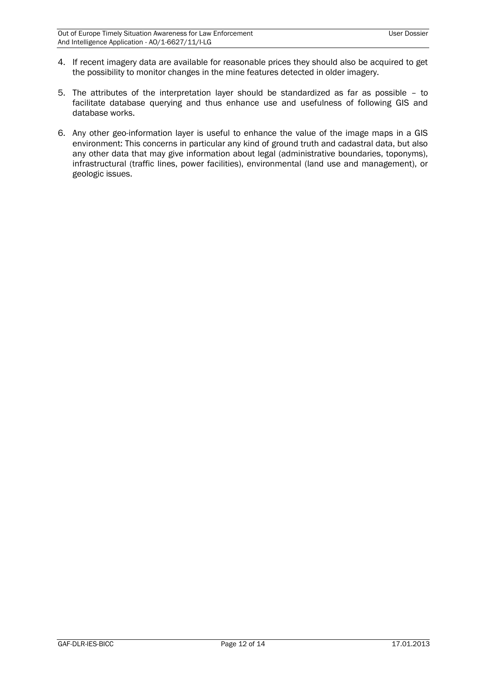- 4. If recent imagery data are available for reasonable prices they should also be acquired to get the possibility to monitor changes in the mine features detected in older imagery.
- 5. The attributes of the interpretation layer should be standardized as far as possible to facilitate database querying and thus enhance use and usefulness of following GIS and database works.
- 6. Any other geo-information layer is useful to enhance the value of the image maps in a GIS environment: This concerns in particular any kind of ground truth and cadastral data, but also any other data that may give information about legal (administrative boundaries, toponyms), infrastructural (traffic lines, power facilities), environmental (land use and management), or geologic issues.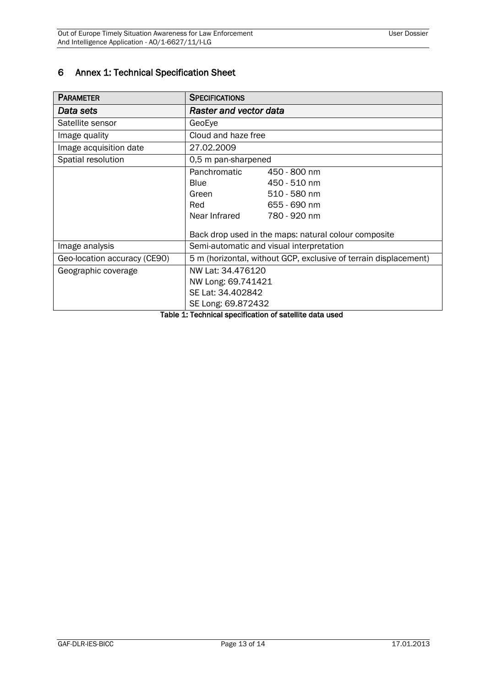## <span id="page-12-0"></span>6 Annex 1: Technical Specification Sheet

| <b>PARAMETER</b>             | <b>SPECIFICATIONS</b>                                            |                                                      |  |
|------------------------------|------------------------------------------------------------------|------------------------------------------------------|--|
| Data sets                    | <b>Raster and vector data</b>                                    |                                                      |  |
| Satellite sensor             | GeoEye                                                           |                                                      |  |
| Image quality                | Cloud and haze free                                              |                                                      |  |
| Image acquisition date       | 27.02.2009                                                       |                                                      |  |
| Spatial resolution           | 0,5 m pan-sharpened                                              |                                                      |  |
|                              | Panchromatic                                                     | 450 - 800 nm                                         |  |
|                              | <b>Blue</b>                                                      | 450 - 510 nm                                         |  |
|                              | Green                                                            | 510 - 580 nm                                         |  |
|                              | Red                                                              | 655 - 690 nm                                         |  |
|                              | Near Infrared                                                    | 780 - 920 nm                                         |  |
|                              |                                                                  | Back drop used in the maps: natural colour composite |  |
| Image analysis               | Semi-automatic and visual interpretation                         |                                                      |  |
| Geo-location accuracy (CE90) | 5 m (horizontal, without GCP, exclusive of terrain displacement) |                                                      |  |
| Geographic coverage          | NW Lat: 34.476120                                                |                                                      |  |
|                              | NW Long: 69.741421                                               |                                                      |  |
|                              | SE Lat: 34.402842                                                |                                                      |  |
|                              | SE Long: 69.872432                                               |                                                      |  |

<span id="page-12-1"></span>Table 1: Technical specification of satellite data used